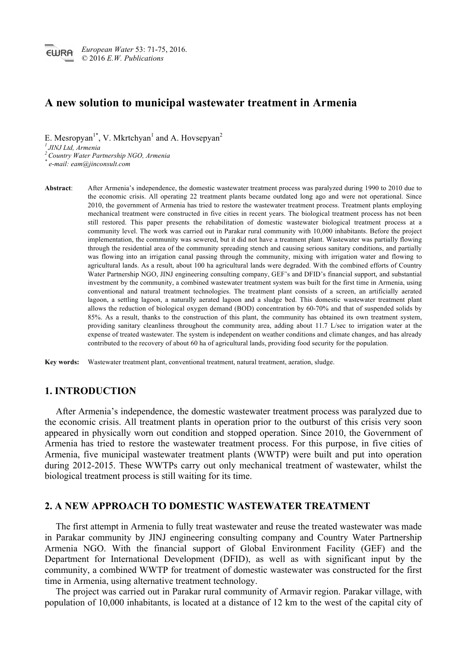# **A new solution to municipal wastewater treatment in Armenia**

E. Mesropyan<sup>1</sup><sup>\*</sup>, V. Mkrtchyan<sup>1</sup> and A. Hovsepyan<sup>2</sup>

*<sup>1</sup> JINJ Ltd, Armenia*

*<sup>2</sup> Country Water Partnership NGO, Armenia*

*\* e-mail: eam@jinconsult.com*

**Abstract**: After Armenia's independence, the domestic wastewater treatment process was paralyzed during 1990 to 2010 due to the economic crisis. All operating 22 treatment plants became outdated long ago and were not operational. Since 2010, the government of Armenia has tried to restore the wastewater treatment process. Treatment plants employing mechanical treatment were constructed in five cities in recent years. The biological treatment process has not been still restored. This paper presents the rehabilitation of domestic wastewater biological treatment process at a community level. The work was carried out in Parakar rural community with 10,000 inhabitants. Before the project implementation, the community was sewered, but it did not have a treatment plant. Wastewater was partially flowing through the residential area of the community spreading stench and causing serious sanitary conditions, and partially was flowing into an irrigation canal passing through the community, mixing with irrigation water and flowing to agricultural lands. As a result, about 100 ha agricultural lands were degraded. With the combined efforts of Country Water Partnership NGO, JINJ engineering consulting company, GEF's and DFID's financial support, and substantial investment by the community, a combined wastewater treatment system was built for the first time in Armenia, using conventional and natural treatment technologies. The treatment plant consists of a screen, an artificially aerated lagoon, a settling lagoon, a naturally aerated lagoon and a sludge bed. This domestic wastewater treatment plant allows the reduction of biological oxygen demand (BOD) concentration by 60-70% and that of suspended solids by 85%. As a result, thanks to the construction of this plant, the community has obtained its own treatment system, providing sanitary cleanliness throughout the community area, adding about 11.7 L/sec to irrigation water at the expense of treated wastewater. The system is independent on weather conditions and climate changes, and has already contributed to the recovery of about 60 ha of agricultural lands, providing food security for the population.

**Key words:** Wastewater treatment plant, conventional treatment, natural treatment, aeration, sludge.

# **1. INTRODUCTION**

After Armenia's independence, the domestic wastewater treatment process was paralyzed due to the economic crisis. All treatment plants in operation prior to the outburst of this crisis very soon appeared in physically worn out condition and stopped operation. Since 2010, the Government of Armenia has tried to restore the wastewater treatment process. For this purpose, in five cities of Armenia, five municipal wastewater treatment plants (WWTP) were built and put into operation during 2012-2015. These WWTPs carry out only mechanical treatment of wastewater, whilst the biological treatment process is still waiting for its time.

### **2. A NEW APPROACH TO DOMESTIC WASTEWATER TREATMENT**

The first attempt in Armenia to fully treat wastewater and reuse the treated wastewater was made in Parakar community by JINJ engineering consulting company and Country Water Partnership Armenia NGO. With the financial support of Global Environment Facility (GEF) and the Department for International Development (DFID), as well as with significant input by the community, a combined WWTP for treatment of domestic wastewater was constructed for the first time in Armenia, using alternative treatment technology.

The project was carried out in Parakar rural community of Armavir region. Parakar village, with population of 10,000 inhabitants, is located at a distance of 12 km to the west of the capital city of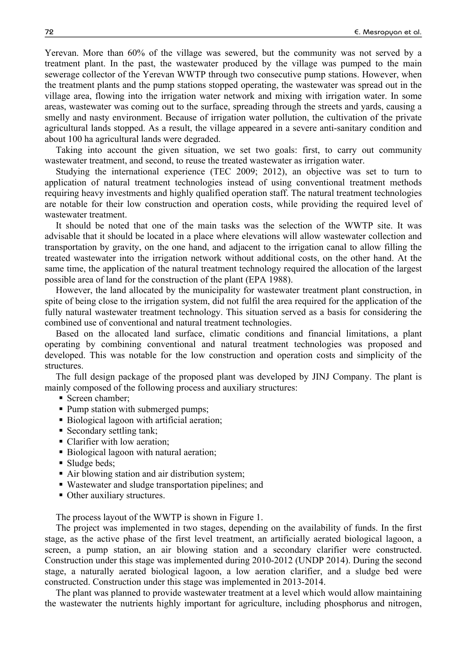Yerevan. More than 60% of the village was sewered, but the community was not served by a treatment plant. In the past, the wastewater produced by the village was pumped to the main sewerage collector of the Yerevan WWTP through two consecutive pump stations. However, when the treatment plants and the pump stations stopped operating, the wastewater was spread out in the village area, flowing into the irrigation water network and mixing with irrigation water. In some areas, wastewater was coming out to the surface, spreading through the streets and yards, causing a smelly and nasty environment. Because of irrigation water pollution, the cultivation of the private agricultural lands stopped. As a result, the village appeared in a severe anti-sanitary condition and about 100 ha agricultural lands were degraded.

Taking into account the given situation, we set two goals: first, to carry out community wastewater treatment, and second, to reuse the treated wastewater as irrigation water.

Studying the international experience (TEC 2009; 2012), an objective was set to turn to application of natural treatment technologies instead of using conventional treatment methods requiring heavy investments and highly qualified operation staff. The natural treatment technologies are notable for their low construction and operation costs, while providing the required level of wastewater treatment.

It should be noted that one of the main tasks was the selection of the WWTP site. It was advisable that it should be located in a place where elevations will allow wastewater collection and transportation by gravity, on the one hand, and adjacent to the irrigation canal to allow filling the treated wastewater into the irrigation network without additional costs, on the other hand. At the same time, the application of the natural treatment technology required the allocation of the largest possible area of land for the construction of the plant (EPA 1988).

However, the land allocated by the municipality for wastewater treatment plant construction, in spite of being close to the irrigation system, did not fulfil the area required for the application of the fully natural wastewater treatment technology. This situation served as a basis for considering the combined use of conventional and natural treatment technologies.

Based on the allocated land surface, climatic conditions and financial limitations, a plant operating by combining conventional and natural treatment technologies was proposed and developed. This was notable for the low construction and operation costs and simplicity of the structures.

The full design package of the proposed plant was developed by JINJ Company. The plant is mainly composed of the following process and auxiliary structures:

- § Screen chamber;
- Pump station with submerged pumps;
- Biological lagoon with artificial aeration;
- Secondary settling tank;
- Clarifier with low aeration;
- Biological lagoon with natural aeration;
- Sludge beds;
- Air blowing station and air distribution system;
- Wastewater and sludge transportation pipelines; and
- Other auxiliary structures.

The process layout of the WWTP is shown in Figure 1.

The project was implemented in two stages, depending on the availability of funds. In the first stage, as the active phase of the first level treatment, an artificially aerated biological lagoon, a screen, a pump station, an air blowing station and a secondary clarifier were constructed. Construction under this stage was implemented during 2010-2012 (UNDP 2014). During the second stage, a naturally aerated biological lagoon, a low aeration clarifier, and a sludge bed were constructed. Construction under this stage was implemented in 2013-2014.

The plant was planned to provide wastewater treatment at a level which would allow maintaining the wastewater the nutrients highly important for agriculture, including phosphorus and nitrogen,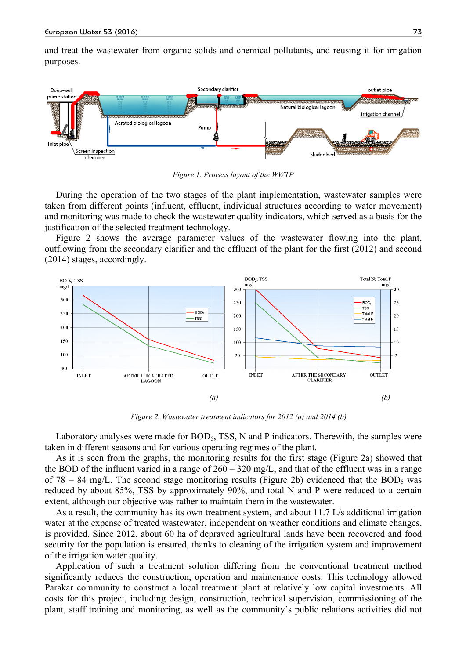and treat the wastewater from organic solids and chemical pollutants, and reusing it for irrigation purposes.



*Figure 1. Process layout of the WWTP*

During the operation of the two stages of the plant implementation, wastewater samples were taken from different points (influent, effluent, individual structures according to water movement) and monitoring was made to check the wastewater quality indicators, which served as a basis for the justification of the selected treatment technology.

Figure 2 shows the average parameter values of the wastewater flowing into the plant, outflowing from the secondary clarifier and the effluent of the plant for the first (2012) and second (2014) stages, accordingly.



*Figure 2. Wastewater treatment indicators for 2012 (a) and 2014 (b)*

Laboratory analyses were made for BOD<sub>5</sub>, TSS, N and P indicators. Therewith, the samples were taken in different seasons and for various operating regimes of the plant.

As it is seen from the graphs, the monitoring results for the first stage (Figure 2a) showed that the BOD of the influent varied in a range of  $260 - 320$  mg/L, and that of the effluent was in a range of 78 – 84 mg/L. The second stage monitoring results (Figure 2b) evidenced that the BOD<sub>5</sub> was reduced by about 85%, TSS by approximately 90%, and total N and P were reduced to a certain extent, although our objective was rather to maintain them in the wastewater.

As a result, the community has its own treatment system, and about 11.7 L/s additional irrigation water at the expense of treated wastewater, independent on weather conditions and climate changes, is provided. Since 2012, about 60 ha of depraved agricultural lands have been recovered and food security for the population is ensured, thanks to cleaning of the irrigation system and improvement of the irrigation water quality.

Application of such a treatment solution differing from the conventional treatment method significantly reduces the construction, operation and maintenance costs. This technology allowed Parakar community to construct a local treatment plant at relatively low capital investments. All costs for this project, including design, construction, technical supervision, commissioning of the plant, staff training and monitoring, as well as the community's public relations activities did not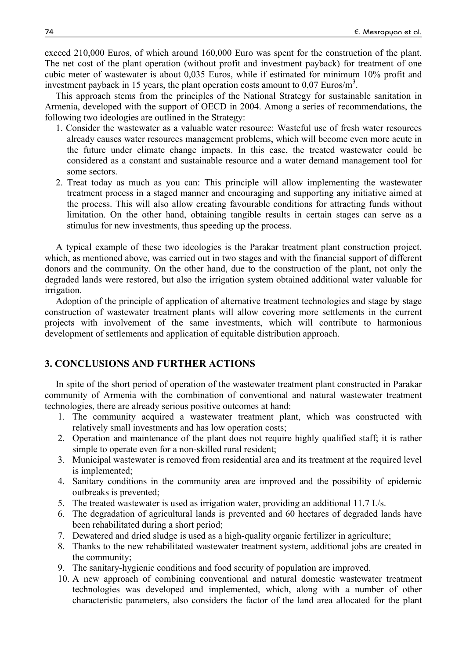exceed 210,000 Euros, of which around 160,000 Euro was spent for the construction of the plant. The net cost of the plant operation (without profit and investment payback) for treatment of one cubic meter of wastewater is about 0,035 Euros, while if estimated for minimum 10% profit and investment payback in 15 years, the plant operation costs amount to  $0.07$  Euros/m<sup>3</sup>.

This approach stems from the principles of the National Strategy for sustainable sanitation in Armenia, developed with the support of OECD in 2004. Among a series of recommendations, the following two ideologies are outlined in the Strategy:

- 1. Consider the wastewater as a valuable water resource: Wasteful use of fresh water resources already causes water resources management problems, which will become even more acute in the future under climate change impacts. In this case, the treated wastewater could be considered as a constant and sustainable resource and a water demand management tool for some sectors.
- 2. Treat today as much as you can: This principle will allow implementing the wastewater treatment process in a staged manner and encouraging and supporting any initiative aimed at the process. This will also allow creating favourable conditions for attracting funds without limitation. On the other hand, obtaining tangible results in certain stages can serve as a stimulus for new investments, thus speeding up the process.

A typical example of these two ideologies is the Parakar treatment plant construction project, which, as mentioned above, was carried out in two stages and with the financial support of different donors and the community. On the other hand, due to the construction of the plant, not only the degraded lands were restored, but also the irrigation system obtained additional water valuable for irrigation.

Adoption of the principle of application of alternative treatment technologies and stage by stage construction of wastewater treatment plants will allow covering more settlements in the current projects with involvement of the same investments, which will contribute to harmonious development of settlements and application of equitable distribution approach.

# **3. CONCLUSIONS AND FURTHER ACTIONS**

In spite of the short period of operation of the wastewater treatment plant constructed in Parakar community of Armenia with the combination of conventional and natural wastewater treatment technologies, there are already serious positive outcomes at hand:

- 1. The community acquired a wastewater treatment plant, which was constructed with relatively small investments and has low operation costs;
- 2. Operation and maintenance of the plant does not require highly qualified staff; it is rather simple to operate even for a non-skilled rural resident;
- 3. Municipal wastewater is removed from residential area and its treatment at the required level is implemented;
- 4. Sanitary conditions in the community area are improved and the possibility of epidemic outbreaks is prevented;
- 5. The treated wastewater is used as irrigation water, providing an additional 11.7 L/s.
- 6. The degradation of agricultural lands is prevented and 60 hectares of degraded lands have been rehabilitated during a short period;
- 7. Dewatered and dried sludge is used as a high-quality organic fertilizer in agriculture;
- 8. Thanks to the new rehabilitated wastewater treatment system, additional jobs are created in the community;
- 9. The sanitary-hygienic conditions and food security of population are improved.
- 10. A new approach of combining conventional and natural domestic wastewater treatment technologies was developed and implemented, which, along with a number of other characteristic parameters, also considers the factor of the land area allocated for the plant